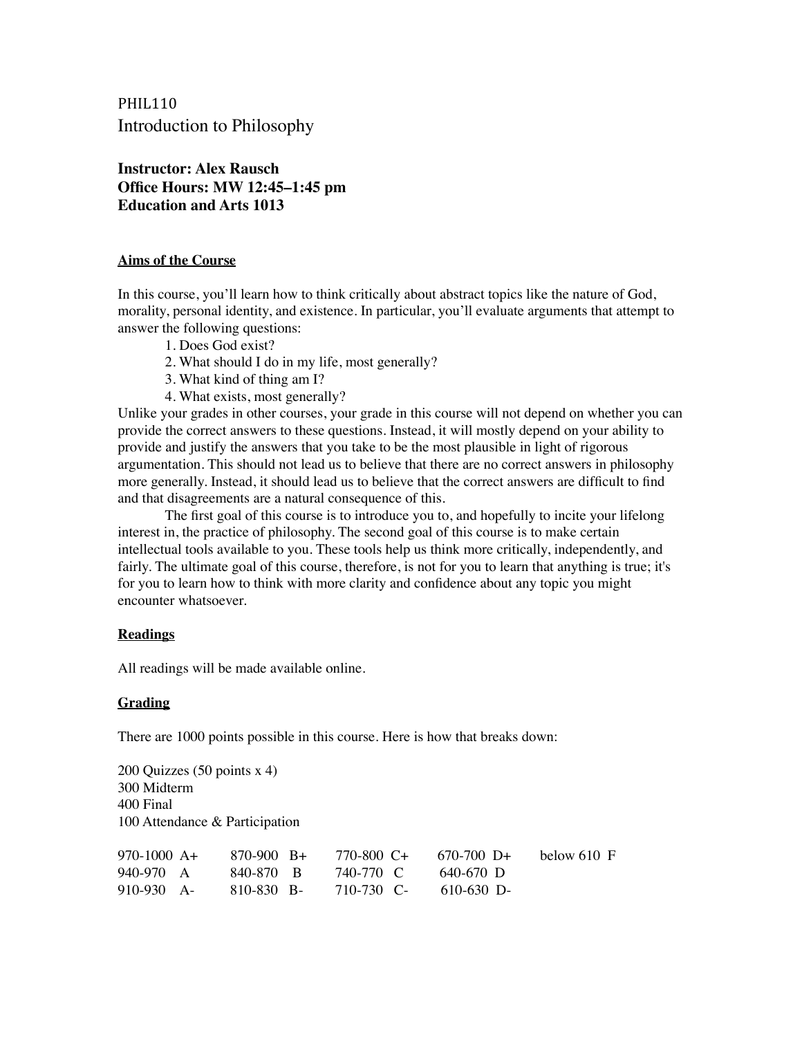PHIL110 Introduction to Philosophy

**Instructor: Alex Rausch Office Hours: MW 12:45–1:45 pm Education and Arts 1013**

## **Aims of the Course**

In this course, you'll learn how to think critically about abstract topics like the nature of God, morality, personal identity, and existence. In particular, you'll evaluate arguments that attempt to answer the following questions:

- 1. Does God exist?
- 2. What should I do in my life, most generally?
- 3. What kind of thing am I?
- 4. What exists, most generally?

Unlike your grades in other courses, your grade in this course will not depend on whether you can provide the correct answers to these questions. Instead, it will mostly depend on your ability to provide and justify the answers that you take to be the most plausible in light of rigorous argumentation. This should not lead us to believe that there are no correct answers in philosophy more generally. Instead, it should lead us to believe that the correct answers are difficult to find and that disagreements are a natural consequence of this.

The first goal of this course is to introduce you to, and hopefully to incite your lifelong interest in, the practice of philosophy. The second goal of this course is to make certain intellectual tools available to you. These tools help us think more critically, independently, and fairly. The ultimate goal of this course, therefore, is not for you to learn that anything is true; it's for you to learn how to think with more clarity and confidence about any topic you might encounter whatsoever.

## **Readings**

All readings will be made available online.

## **Grading**

There are 1000 points possible in this course. Here is how that breaks down:

200 Quizzes (50 points x 4) 300 Midterm 400 Final 100 Attendance & Participation

| $970-1000 A+$ | $870-900$ R+ | 770-800 C+ | $670-700$ D+ | below 610 F |
|---------------|--------------|------------|--------------|-------------|
| 940-970 A     | 840-870 B    | 740-770 C  | - 640-670 D  |             |
| $910-930$ A-  | -810-830 B-  | 710-730 C- | $610-630$ D- |             |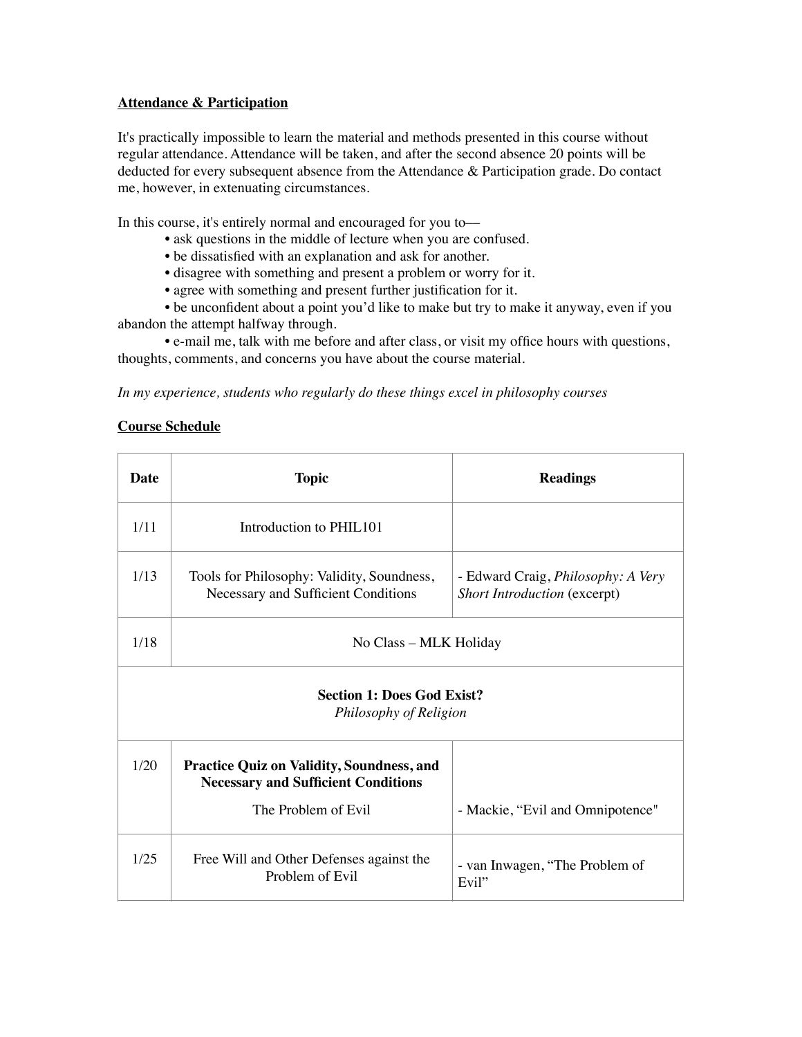# **Attendance & Participation**

It's practically impossible to learn the material and methods presented in this course without regular attendance. Attendance will be taken, and after the second absence 20 points will be deducted for every subsequent absence from the Attendance & Participation grade. Do contact me, however, in extenuating circumstances.

In this course, it's entirely normal and encouraged for you to—

- ask questions in the middle of lecture when you are confused.
- be dissatisfied with an explanation and ask for another.
- disagree with something and present a problem or worry for it.
- agree with something and present further justification for it.

• be unconfident about a point you'd like to make but try to make it anyway, even if you abandon the attempt halfway through.

• e-mail me, talk with me before and after class, or visit my office hours with questions, thoughts, comments, and concerns you have about the course material.

*In my experience, students who regularly do these things excel in philosophy courses*

## **Course Schedule**

| <b>Date</b>                                                 | <b>Topic</b>                                                                                                          | <b>Readings</b>                                                           |  |  |
|-------------------------------------------------------------|-----------------------------------------------------------------------------------------------------------------------|---------------------------------------------------------------------------|--|--|
| 1/11                                                        | Introduction to PHIL101                                                                                               |                                                                           |  |  |
| 1/13                                                        | Tools for Philosophy: Validity, Soundness,<br>Necessary and Sufficient Conditions                                     | - Edward Craig, <i>Philosophy: A Very</i><br>Short Introduction (excerpt) |  |  |
| 1/18                                                        | No Class - MLK Holiday                                                                                                |                                                                           |  |  |
| <b>Section 1: Does God Exist?</b><br>Philosophy of Religion |                                                                                                                       |                                                                           |  |  |
| 1/20                                                        | <b>Practice Quiz on Validity, Soundness, and</b><br><b>Necessary and Sufficient Conditions</b><br>The Problem of Evil | - Mackie, "Evil and Omnipotence"                                          |  |  |
| 1/25                                                        | Free Will and Other Defenses against the<br>Problem of Evil                                                           | - van Inwagen, "The Problem of<br>Evil"                                   |  |  |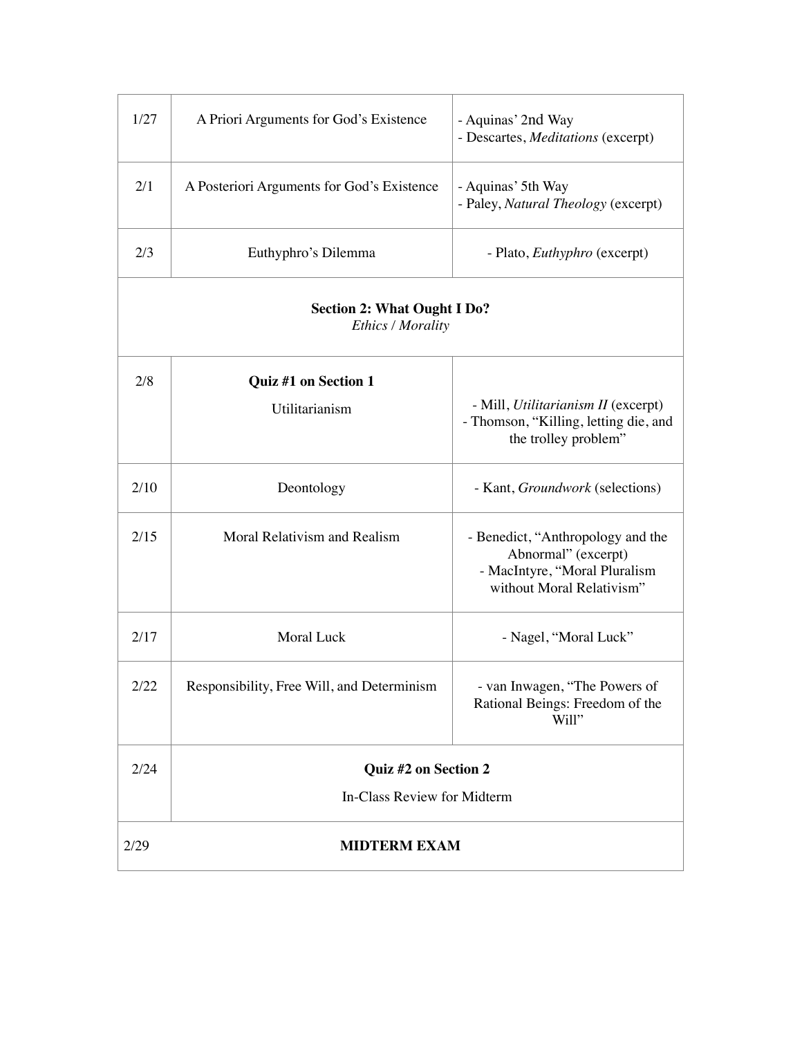| 1/27                                                    | A Priori Arguments for God's Existence     | - Aquinas' 2nd Way<br>- Descartes, Meditations (excerpt)                                                               |  |  |
|---------------------------------------------------------|--------------------------------------------|------------------------------------------------------------------------------------------------------------------------|--|--|
| 2/1                                                     | A Posteriori Arguments for God's Existence | - Aquinas' 5th Way<br>- Paley, Natural Theology (excerpt)                                                              |  |  |
| 2/3                                                     | Euthyphro's Dilemma                        | - Plato, <i>Euthyphro</i> (excerpt)                                                                                    |  |  |
| <b>Section 2: What Ought I Do?</b><br>Ethics / Morality |                                            |                                                                                                                        |  |  |
| 2/8                                                     | Quiz #1 on Section 1                       |                                                                                                                        |  |  |
|                                                         | Utilitarianism                             | - Mill, Utilitarianism II (excerpt)<br>- Thomson, "Killing, letting die, and<br>the trolley problem"                   |  |  |
| 2/10                                                    | Deontology                                 | - Kant, Groundwork (selections)                                                                                        |  |  |
| 2/15                                                    | Moral Relativism and Realism               | - Benedict, "Anthropology and the<br>Abnormal" (excerpt)<br>- MacIntyre, "Moral Pluralism<br>without Moral Relativism" |  |  |
| 2/17                                                    | <b>Moral Luck</b>                          | - Nagel, "Moral Luck"                                                                                                  |  |  |
| 2/22                                                    | Responsibility, Free Will, and Determinism | - van Inwagen, "The Powers of<br>Rational Beings: Freedom of the<br>Will"                                              |  |  |
| 2/24                                                    | Quiz #2 on Section 2                       |                                                                                                                        |  |  |
|                                                         | In-Class Review for Midterm                |                                                                                                                        |  |  |
| 2/29<br><b>MIDTERM EXAM</b>                             |                                            |                                                                                                                        |  |  |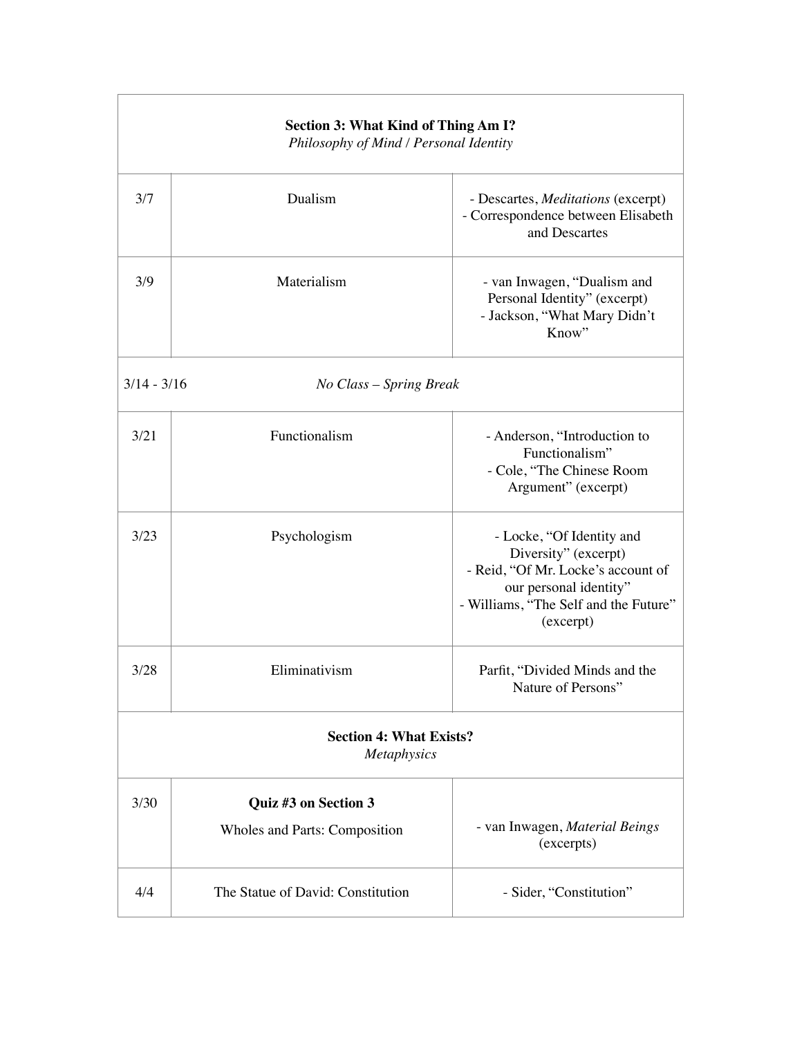| <b>Section 3: What Kind of Thing Am I?</b><br>Philosophy of Mind / Personal Identity |                                                       |                                                                                                                                                                         |  |  |
|--------------------------------------------------------------------------------------|-------------------------------------------------------|-------------------------------------------------------------------------------------------------------------------------------------------------------------------------|--|--|
| 3/7                                                                                  | Dualism                                               | - Descartes, Meditations (excerpt)<br>- Correspondence between Elisabeth<br>and Descartes                                                                               |  |  |
| 3/9                                                                                  | Materialism                                           | - van Inwagen, "Dualism and<br>Personal Identity" (excerpt)<br>- Jackson, "What Mary Didn't<br>Know"                                                                    |  |  |
| $3/14 - 3/16$<br>No Class - Spring Break                                             |                                                       |                                                                                                                                                                         |  |  |
| 3/21                                                                                 | Functionalism                                         | - Anderson, "Introduction to<br>Functionalism"<br>- Cole, "The Chinese Room<br>Argument" (excerpt)                                                                      |  |  |
| 3/23                                                                                 | Psychologism                                          | - Locke, "Of Identity and<br>Diversity" (excerpt)<br>- Reid, "Of Mr. Locke's account of<br>our personal identity"<br>- Williams, "The Self and the Future"<br>(excerpt) |  |  |
| 3/28                                                                                 | Eliminativism                                         | Parfit, "Divided Minds and the<br>Nature of Persons"                                                                                                                    |  |  |
| <b>Section 4: What Exists?</b><br><b>Metaphysics</b>                                 |                                                       |                                                                                                                                                                         |  |  |
| 3/30                                                                                 | Quiz #3 on Section 3<br>Wholes and Parts: Composition | - van Inwagen, Material Beings<br>(excerpts)                                                                                                                            |  |  |
| 4/4                                                                                  | The Statue of David: Constitution                     | - Sider, "Constitution"                                                                                                                                                 |  |  |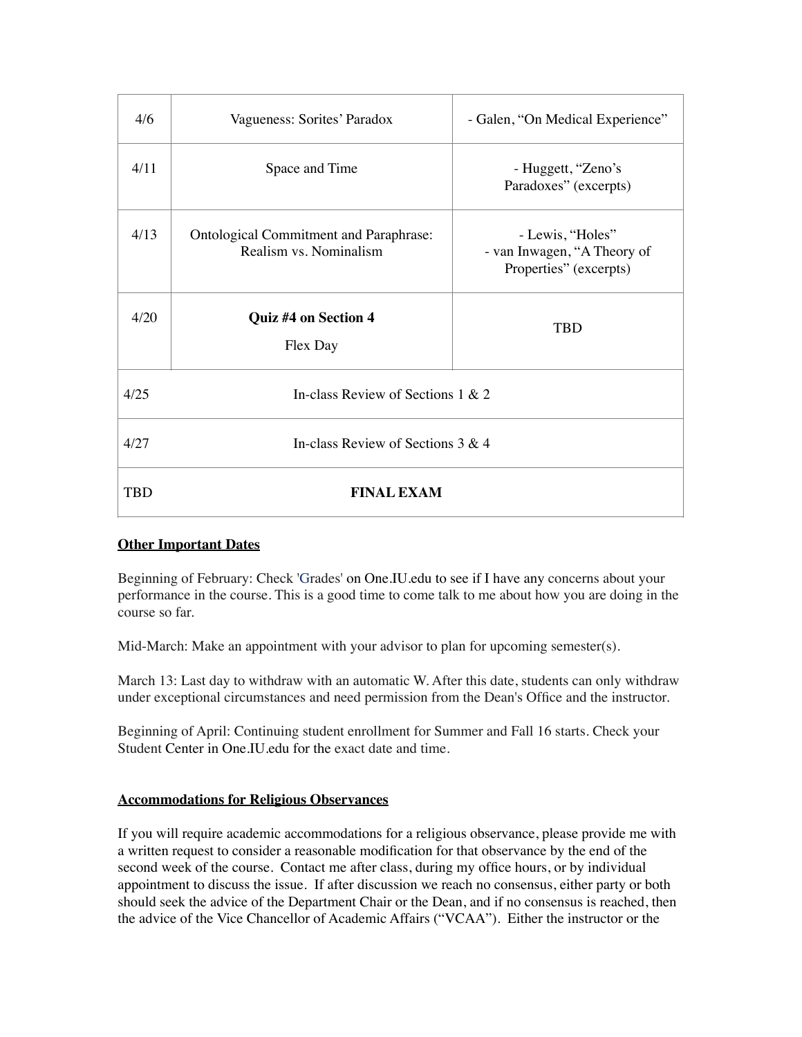| 4/6        | Vagueness: Sorites' Paradox                                             | - Galen, "On Medical Experience"                                          |  |  |  |
|------------|-------------------------------------------------------------------------|---------------------------------------------------------------------------|--|--|--|
| 4/11       | Space and Time                                                          | - Huggett, "Zeno's<br>Paradoxes" (excerpts)                               |  |  |  |
| 4/13       | <b>Ontological Commitment and Paraphrase:</b><br>Realism vs. Nominalism | - Lewis, "Holes"<br>- van Inwagen, "A Theory of<br>Properties" (excerpts) |  |  |  |
| 4/20       | <b>Quiz #4 on Section 4</b><br>Flex Day                                 | <b>TRD</b>                                                                |  |  |  |
| 4/25       | In-class Review of Sections 1 & 2                                       |                                                                           |  |  |  |
| 4/27       | In-class Review of Sections $3 & 4$                                     |                                                                           |  |  |  |
| <b>TBD</b> | <b>FINAL EXAM</b>                                                       |                                                                           |  |  |  |

# **Other Important Dates**

Beginning of February: Check 'Grades' on [One.IU.edu](http://one.iu.edu/) to see if I have any concerns about your performance in the course. This is a good time to come talk to me about how you are doing in the course so far.

Mid-March: Make an appointment with your advisor to plan for upcoming semester(s).

March 13: Last day to withdraw with an automatic W. After this date, students can only withdraw under exceptional circumstances and need permission from the Dean's Office and the instructor.

Beginning of April: Continuing student enrollment for Summer and Fall 16 starts. Check your Student Center in [One.IU.edu](http://one.iu.edu/) for the exact date and time.

# **Accommodations for Religious Observances**

If you will require academic accommodations for a religious observance, please provide me with a written request to consider a reasonable modification for that observance by the end of the second week of the course. Contact me after class, during my office hours, or by individual appointment to discuss the issue. If after discussion we reach no consensus, either party or both should seek the advice of the Department Chair or the Dean, and if no consensus is reached, then the advice of the Vice Chancellor of Academic Affairs ("VCAA"). Either the instructor or the